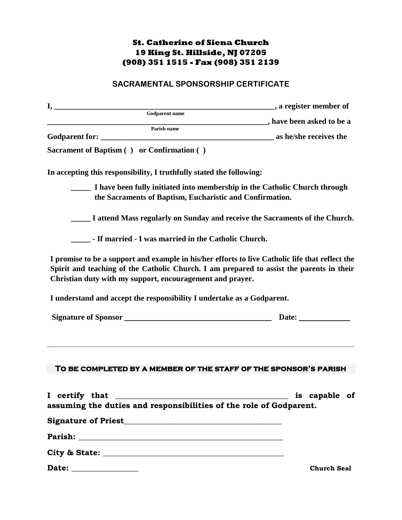## **St. Catherine of Siena Church 19 King St. Hillside, NJ 07205 (908) 351 1515 - Fax (908) 351 2139**

## **SACRAMENTAL SPONSORSHIP CERTIFICATE**

| <b>A</b> register member of<br><u>I, ______________________________</u>                                                                                                                                                                                  |               |
|----------------------------------------------------------------------------------------------------------------------------------------------------------------------------------------------------------------------------------------------------------|---------------|
| Godparent name<br>and the same state of the same share been asked to be a                                                                                                                                                                                |               |
| Parish name                                                                                                                                                                                                                                              |               |
|                                                                                                                                                                                                                                                          |               |
| Sacrament of Baptism () or Confirmation ()                                                                                                                                                                                                               |               |
| In accepting this responsibility, I truthfully stated the following:                                                                                                                                                                                     |               |
| I have been fully initiated into membership in the Catholic Church through<br>the Sacraments of Baptism, Eucharistic and Confirmation.                                                                                                                   |               |
| I attend Mass regularly on Sunday and receive the Sacraments of the Church.                                                                                                                                                                              |               |
| - If married - I was married in the Catholic Church.                                                                                                                                                                                                     |               |
| I promise to be a support and example in his/her efforts to live Catholic life that reflect the<br>Spirit and teaching of the Catholic Church. I am prepared to assist the parents in their<br>Christian duty with my support, encouragement and prayer. |               |
|                                                                                                                                                                                                                                                          |               |
| I understand and accept the responsibility I undertake as a Godparent.                                                                                                                                                                                   |               |
|                                                                                                                                                                                                                                                          | Date: $\_\_$  |
| TO BE COMPLETED BY A MEMBER OF THE STAFF OF THE SPONSOR'S PARISH<br>I certify that                                                                                                                                                                       | is capable of |
| assuming the duties and responsibilities of the role of Godparent.                                                                                                                                                                                       |               |
|                                                                                                                                                                                                                                                          |               |
|                                                                                                                                                                                                                                                          |               |
|                                                                                                                                                                                                                                                          |               |